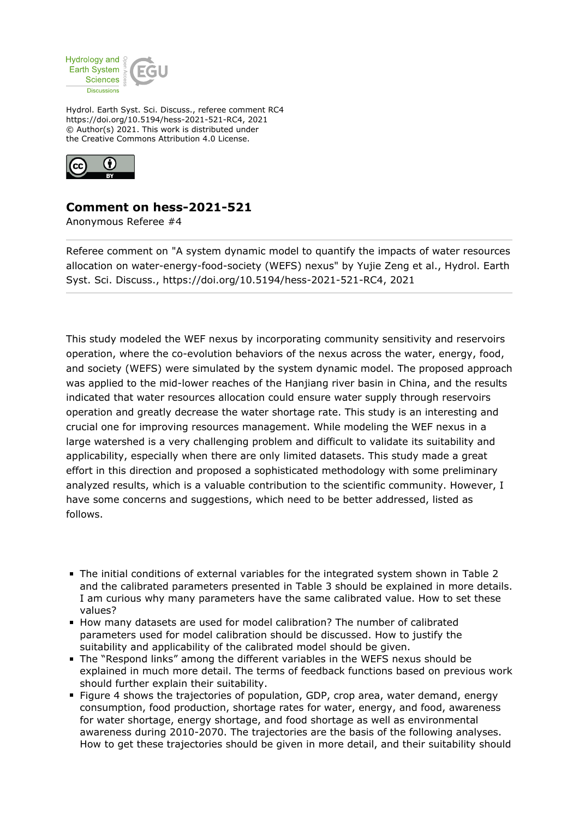

Hydrol. Earth Syst. Sci. Discuss., referee comment RC4 https://doi.org/10.5194/hess-2021-521-RC4, 2021 © Author(s) 2021. This work is distributed under the Creative Commons Attribution 4.0 License.



## **Comment on hess-2021-521**

Anonymous Referee #4

Referee comment on "A system dynamic model to quantify the impacts of water resources allocation on water-energy-food-society (WEFS) nexus" by Yujie Zeng et al., Hydrol. Earth Syst. Sci. Discuss., https://doi.org/10.5194/hess-2021-521-RC4, 2021

This study modeled the WEF nexus by incorporating community sensitivity and reservoirs operation, where the co-evolution behaviors of the nexus across the water, energy, food, and society (WEFS) were simulated by the system dynamic model. The proposed approach was applied to the mid-lower reaches of the Hanjiang river basin in China, and the results indicated that water resources allocation could ensure water supply through reservoirs operation and greatly decrease the water shortage rate. This study is an interesting and crucial one for improving resources management. While modeling the WEF nexus in a large watershed is a very challenging problem and difficult to validate its suitability and applicability, especially when there are only limited datasets. This study made a great effort in this direction and proposed a sophisticated methodology with some preliminary analyzed results, which is a valuable contribution to the scientific community. However, I have some concerns and suggestions, which need to be better addressed, listed as follows.

- The initial conditions of external variables for the integrated system shown in Table 2 and the calibrated parameters presented in Table 3 should be explained in more details. I am curious why many parameters have the same calibrated value. How to set these values?
- How many datasets are used for model calibration? The number of calibrated parameters used for model calibration should be discussed. How to justify the suitability and applicability of the calibrated model should be given.
- The "Respond links" among the different variables in the WEFS nexus should be explained in much more detail. The terms of feedback functions based on previous work should further explain their suitability.
- Figure 4 shows the trajectories of population, GDP, crop area, water demand, energy consumption, food production, shortage rates for water, energy, and food, awareness for water shortage, energy shortage, and food shortage as well as environmental awareness during 2010-2070. The trajectories are the basis of the following analyses. How to get these trajectories should be given in more detail, and their suitability should